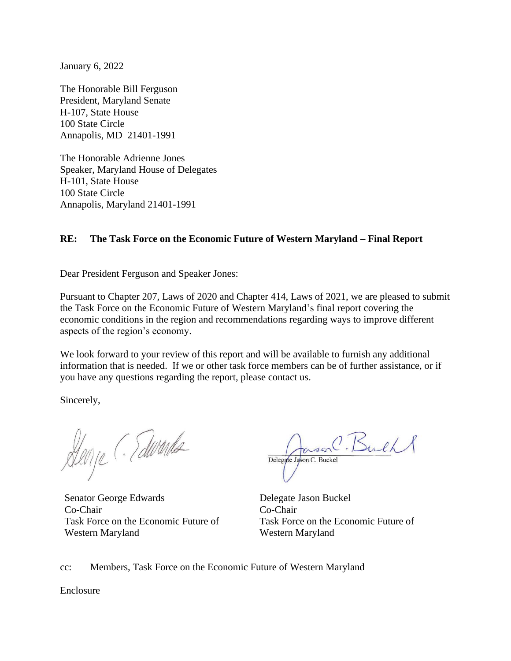January 6, 2022

The Honorable Bill Ferguson President, Maryland Senate H-107, State House 100 State Circle Annapolis, MD 21401-1991

The Honorable Adrienne Jones Speaker, Maryland House of Delegates H-101, State House 100 State Circle Annapolis, Maryland 21401-1991

#### **RE: The Task Force on the Economic Future of Western Maryland – Final Report**

Dear President Ferguson and Speaker Jones:

Pursuant to Chapter 207, Laws of 2020 and Chapter 414, Laws of 2021, we are pleased to submit the Task Force on the Economic Future of Western Maryland's final report covering the economic conditions in the region and recommendations regarding ways to improve different aspects of the region's economy.

We look forward to your review of this report and will be available to furnish any additional information that is needed. If we or other task force members can be of further assistance, or if you have any questions regarding the report, please contact us.

Sincerely,

Denje (Talurands

Senator George Edwards Delegate Jason Buckel Co-Chair Co-Chair Task Force on the Economic Future of Western Maryland

Delegate Jason C. Buckel

Task Force on the Economic Future of Western Maryland

cc: Members, Task Force on the Economic Future of Western Maryland

Enclosure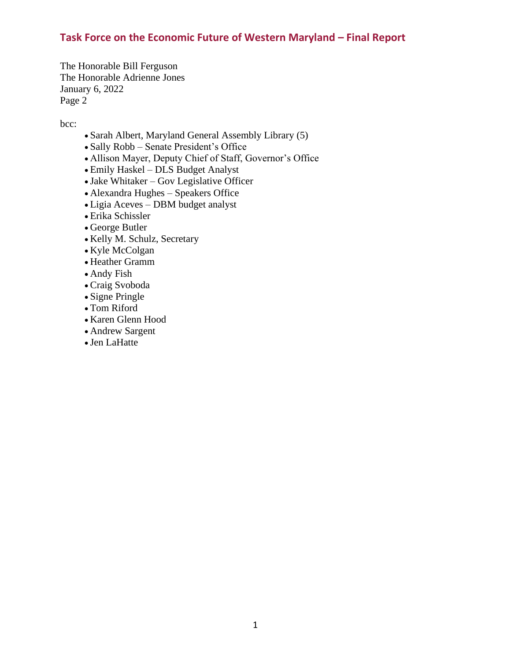The Honorable Bill Ferguson The Honorable Adrienne Jones January 6, 2022 Page 2

bcc:

- Sarah Albert, Maryland General Assembly Library (5)
- Sally Robb Senate President's Office
- Allison Mayer, Deputy Chief of Staff, Governor's Office
- Emily Haskel DLS Budget Analyst
- Jake Whitaker Gov Legislative Officer
- Alexandra Hughes Speakers Office
- Ligia Aceves DBM budget analyst
- Erika Schissler
- George Butler
- Kelly M. Schulz, Secretary
- Kyle McColgan
- Heather Gramm
- Andy Fish
- Craig Svoboda
- Signe Pringle
- Tom Riford
- Karen Glenn Hood
- Andrew Sargent
- Jen LaHatte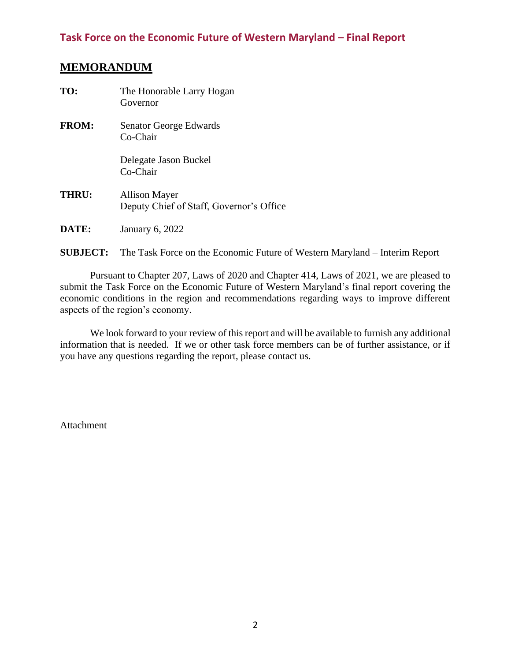### **MEMORANDUM**

| TO:          | The Honorable Larry Hogan<br>Governor                            |
|--------------|------------------------------------------------------------------|
| <b>FROM:</b> | Senator George Edwards<br>Co-Chair                               |
|              | Delegate Jason Buckel<br>Co-Chair                                |
| <b>THRU:</b> | <b>Allison Mayer</b><br>Deputy Chief of Staff, Governor's Office |
| DATE:        | <b>January 6, 2022</b>                                           |
|              |                                                                  |

**SUBJECT:** The Task Force on the Economic Future of Western Maryland – Interim Report

Pursuant to Chapter 207, Laws of 2020 and Chapter 414, Laws of 2021, we are pleased to submit the Task Force on the Economic Future of Western Maryland's final report covering the economic conditions in the region and recommendations regarding ways to improve different aspects of the region's economy.

We look forward to your review of this report and will be available to furnish any additional information that is needed. If we or other task force members can be of further assistance, or if you have any questions regarding the report, please contact us.

Attachment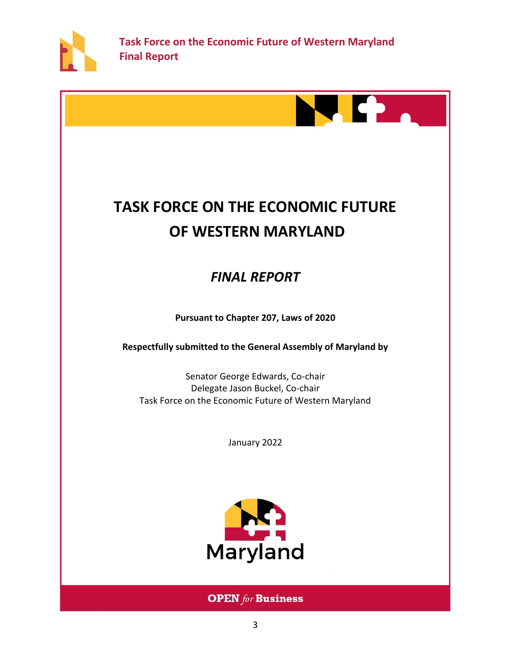



# **TASK FORCE ON THE ECONOMIC FUTURE OF WESTERN MARYLAND**

# *FINAL REPORT*

**Pursuant to Chapter 207, Laws of 2020**

**Respectfully submitted to the General Assembly of Maryland by**

Senator George Edwards, Co-chair Delegate Jason Buckel, Co-chair Task Force on the Economic Future of Western Maryland

January 2022



**OPEN** for Business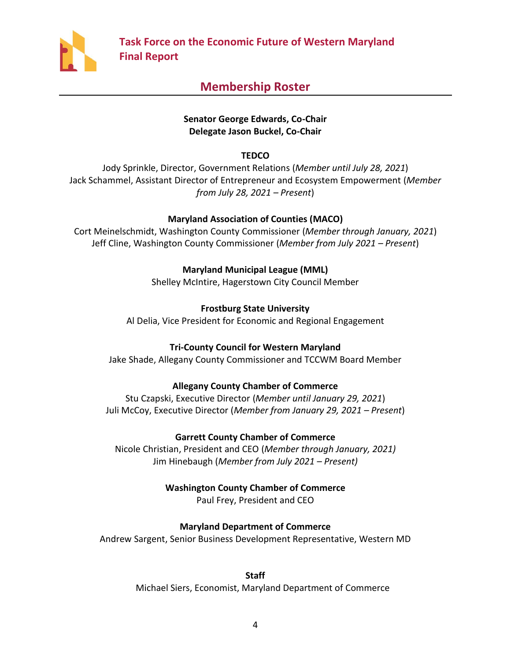

### **Membership Roster**

#### **Senator George Edwards, Co-Chair Delegate Jason Buckel, Co-Chair**

#### **TEDCO**

Jody Sprinkle, Director, Government Relations (*Member until July 28, 2021*) Jack Schammel, Assistant Director of Entrepreneur and Ecosystem Empowerment (*Member from July 28, 2021 – Present*)

### **Maryland Association of Counties (MACO)**

Cort Meinelschmidt, Washington County Commissioner (*Member through January, 2021*) Jeff Cline, Washington County Commissioner (*Member from July 2021 – Present*)

### **Maryland Municipal League (MML)**

Shelley McIntire, Hagerstown City Council Member

### **Frostburg State University**

Al Delia, Vice President for Economic and Regional Engagement

#### **Tri-County Council for Western Maryland**

Jake Shade, Allegany County Commissioner and TCCWM Board Member

### **Allegany County Chamber of Commerce**

Stu Czapski, Executive Director (*Member until January 29, 2021*) Juli McCoy, Executive Director (*Member from January 29, 2021 – Present*)

#### **Garrett County Chamber of Commerce**

Nicole Christian, President and CEO (*Member through January, 2021)* Jim Hinebaugh (*Member from July 2021 – Present)*

#### **Washington County Chamber of Commerce**

Paul Frey, President and CEO

#### **Maryland Department of Commerce**

Andrew Sargent, Senior Business Development Representative, Western MD

#### **Staff**

Michael Siers, Economist, Maryland Department of Commerce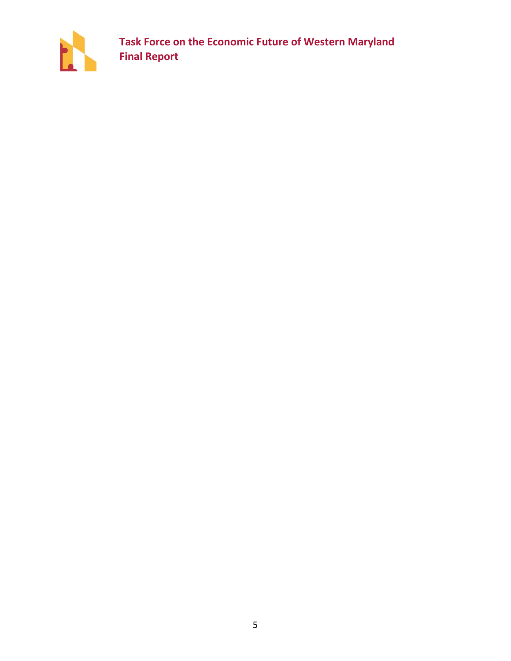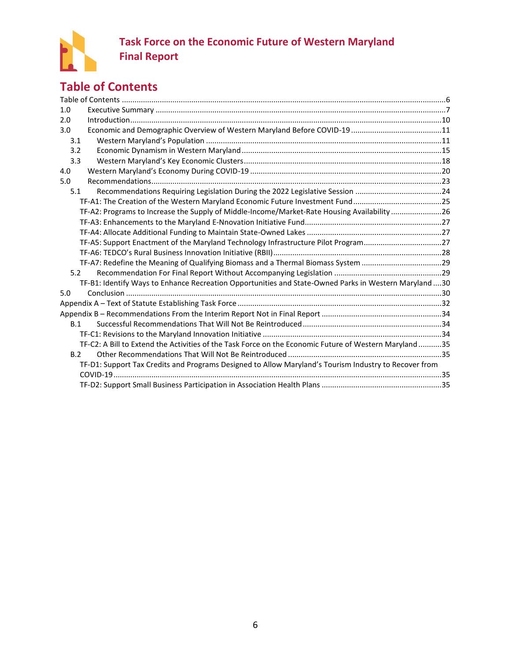

# <span id="page-6-0"></span>**Table of Contents**

| 1.0 |                                                                                                       |  |
|-----|-------------------------------------------------------------------------------------------------------|--|
| 2.0 |                                                                                                       |  |
| 3.0 |                                                                                                       |  |
| 3.1 |                                                                                                       |  |
| 3.2 |                                                                                                       |  |
| 3.3 |                                                                                                       |  |
| 4.0 |                                                                                                       |  |
| 5.0 |                                                                                                       |  |
| 5.1 |                                                                                                       |  |
|     | TF-A1: The Creation of the Western Maryland Economic Future Investment Fund25                         |  |
|     | TF-A2: Programs to Increase the Supply of Middle-Income/Market-Rate Housing Availability 26           |  |
|     |                                                                                                       |  |
|     |                                                                                                       |  |
|     | TF-A5: Support Enactment of the Maryland Technology Infrastructure Pilot Program27                    |  |
|     |                                                                                                       |  |
|     | TF-A7: Redefine the Meaning of Qualifying Biomass and a Thermal Biomass System 29                     |  |
| 5.2 |                                                                                                       |  |
|     | TF-B1: Identify Ways to Enhance Recreation Opportunities and State-Owned Parks in Western Maryland30  |  |
| 5.0 |                                                                                                       |  |
|     |                                                                                                       |  |
|     |                                                                                                       |  |
| B.1 |                                                                                                       |  |
|     |                                                                                                       |  |
|     | TF-C2: A Bill to Extend the Activities of the Task Force on the Economic Future of Western Maryland35 |  |
| B.2 |                                                                                                       |  |
|     | TF-D1: Support Tax Credits and Programs Designed to Allow Maryland's Tourism Industry to Recover from |  |
|     |                                                                                                       |  |
|     |                                                                                                       |  |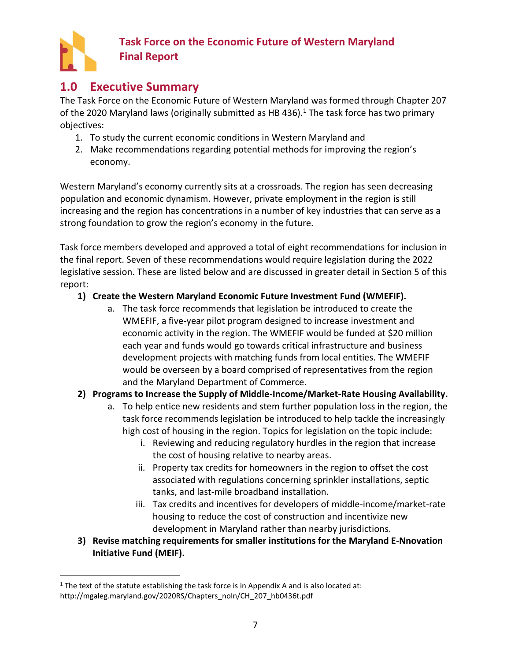

### <span id="page-7-0"></span>**1.0 Executive Summary**

The Task Force on the Economic Future of Western Maryland was formed through Chapter 207 of the 2020 Maryland laws (originally submitted as HB 436).<sup>1</sup> The task force has two primary objectives:

- 1. To study the current economic conditions in Western Maryland and
- 2. Make recommendations regarding potential methods for improving the region's economy.

Western Maryland's economy currently sits at a crossroads. The region has seen decreasing population and economic dynamism. However, private employment in the region is still increasing and the region has concentrations in a number of key industries that can serve as a strong foundation to grow the region's economy in the future.

Task force members developed and approved a total of eight recommendations for inclusion in the final report. Seven of these recommendations would require legislation during the 2022 legislative session. These are listed below and are discussed in greater detail in Section 5 of this report:

### **1) Create the Western Maryland Economic Future Investment Fund (WMEFIF).**

a. The task force recommends that legislation be introduced to create the WMEFIF, a five-year pilot program designed to increase investment and economic activity in the region. The WMEFIF would be funded at \$20 million each year and funds would go towards critical infrastructure and business development projects with matching funds from local entities. The WMEFIF would be overseen by a board comprised of representatives from the region and the Maryland Department of Commerce.

### **2) Programs to Increase the Supply of Middle-Income/Market-Rate Housing Availability.**

- a. To help entice new residents and stem further population loss in the region, the task force recommends legislation be introduced to help tackle the increasingly high cost of housing in the region. Topics for legislation on the topic include:
	- i. Reviewing and reducing regulatory hurdles in the region that increase the cost of housing relative to nearby areas.
	- ii. Property tax credits for homeowners in the region to offset the cost associated with regulations concerning sprinkler installations, septic tanks, and last-mile broadband installation.
	- iii. Tax credits and incentives for developers of middle-income/market-rate housing to reduce the cost of construction and incentivize new development in Maryland rather than nearby jurisdictions.
- **3) Revise matching requirements for smaller institutions for the Maryland E-Nnovation Initiative Fund (MEIF).**

<sup>&</sup>lt;sup>1</sup> The text of the statute establishing the task force is in Appendix A and is also located at: http://mgaleg.maryland.gov/2020RS/Chapters\_noln/CH\_207\_hb0436t.pdf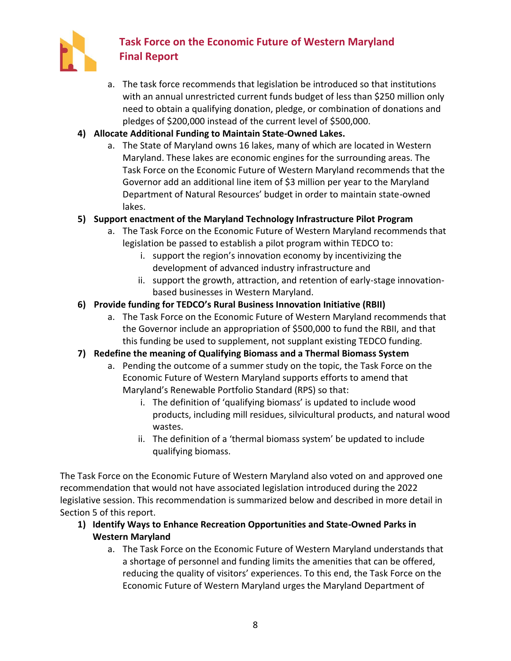

a. The task force recommends that legislation be introduced so that institutions with an annual unrestricted current funds budget of less than \$250 million only need to obtain a qualifying donation, pledge, or combination of donations and pledges of \$200,000 instead of the current level of \$500,000.

### **4) Allocate Additional Funding to Maintain State-Owned Lakes.**

a. The State of Maryland owns 16 lakes, many of which are located in Western Maryland. These lakes are economic engines for the surrounding areas. The Task Force on the Economic Future of Western Maryland recommends that the Governor add an additional line item of \$3 million per year to the Maryland Department of Natural Resources' budget in order to maintain state-owned lakes.

### **5) Support enactment of the Maryland Technology Infrastructure Pilot Program**

- a. The Task Force on the Economic Future of Western Maryland recommends that legislation be passed to establish a pilot program within TEDCO to:
	- i. support the region's innovation economy by incentivizing the development of advanced industry infrastructure and
	- ii. support the growth, attraction, and retention of early-stage innovationbased businesses in Western Maryland.

### **6) Provide funding for TEDCO's Rural Business Innovation Initiative (RBII)**

a. The Task Force on the Economic Future of Western Maryland recommends that the Governor include an appropriation of \$500,000 to fund the RBII, and that this funding be used to supplement, not supplant existing TEDCO funding.

### **7) Redefine the meaning of Qualifying Biomass and a Thermal Biomass System**

- a. Pending the outcome of a summer study on the topic, the Task Force on the Economic Future of Western Maryland supports efforts to amend that Maryland's Renewable Portfolio Standard (RPS) so that:
	- i. The definition of 'qualifying biomass' is updated to include wood products, including mill residues, silvicultural products, and natural wood wastes.
	- ii. The definition of a 'thermal biomass system' be updated to include qualifying biomass.

The Task Force on the Economic Future of Western Maryland also voted on and approved one recommendation that would not have associated legislation introduced during the 2022 legislative session. This recommendation is summarized below and described in more detail in Section 5 of this report.

- **1) Identify Ways to Enhance Recreation Opportunities and State-Owned Parks in Western Maryland** 
	- a. The Task Force on the Economic Future of Western Maryland understands that a shortage of personnel and funding limits the amenities that can be offered, reducing the quality of visitors' experiences. To this end, the Task Force on the Economic Future of Western Maryland urges the Maryland Department of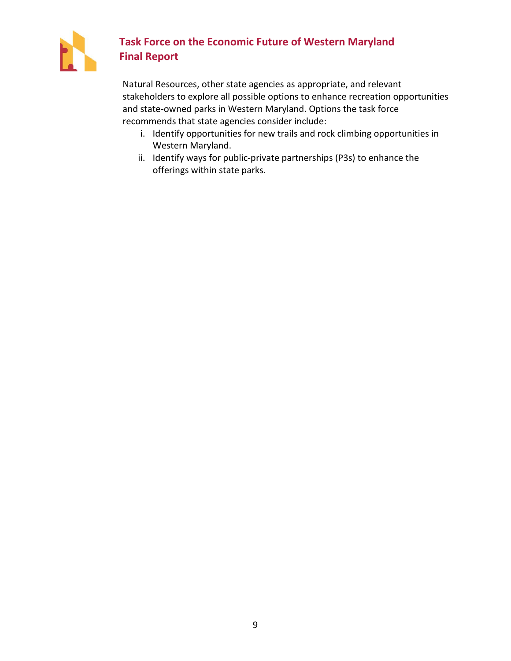

Natural Resources, other state agencies as appropriate, and relevant stakeholders to explore all possible options to enhance recreation opportunities and state-owned parks in Western Maryland. Options the task force recommends that state agencies consider include:

- i. Identify opportunities for new trails and rock climbing opportunities in Western Maryland.
- ii. Identify ways for public-private partnerships (P3s) to enhance the offerings within state parks.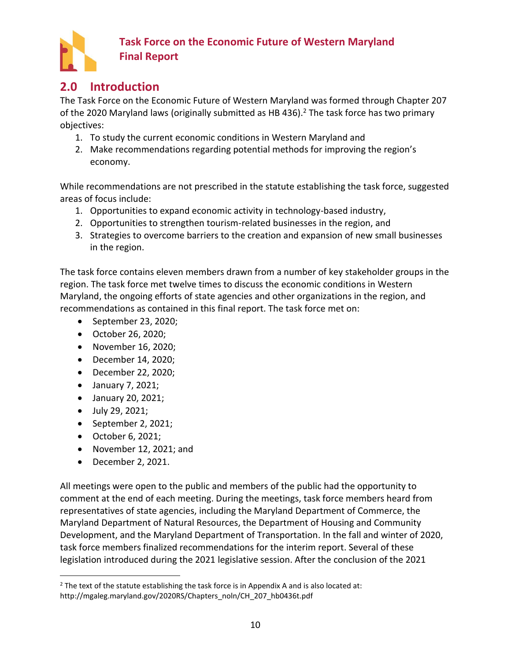

# <span id="page-10-0"></span>**2.0 Introduction**

The Task Force on the Economic Future of Western Maryland was formed through Chapter 207 of the 2020 Maryland laws (originally submitted as HB 436). <sup>2</sup> The task force has two primary objectives:

- 1. To study the current economic conditions in Western Maryland and
- 2. Make recommendations regarding potential methods for improving the region's economy.

While recommendations are not prescribed in the statute establishing the task force, suggested areas of focus include:

- 1. Opportunities to expand economic activity in technology-based industry,
- 2. Opportunities to strengthen tourism-related businesses in the region, and
- 3. Strategies to overcome barriers to the creation and expansion of new small businesses in the region.

The task force contains eleven members drawn from a number of key stakeholder groups in the region. The task force met twelve times to discuss the economic conditions in Western Maryland, the ongoing efforts of state agencies and other organizations in the region, and recommendations as contained in this final report. The task force met on:

- September 23, 2020;
- October 26, 2020;
- November 16, 2020;
- December 14, 2020;
- December 22, 2020;
- January 7, 2021;
- January 20, 2021;
- July 29, 2021;
- September 2, 2021;
- October 6, 2021;
- November 12, 2021; and
- December 2, 2021.

All meetings were open to the public and members of the public had the opportunity to comment at the end of each meeting. During the meetings, task force members heard from representatives of state agencies, including the Maryland Department of Commerce, the Maryland Department of Natural Resources, the Department of Housing and Community Development, and the Maryland Department of Transportation. In the fall and winter of 2020, task force members finalized recommendations for the interim report. Several of these legislation introduced during the 2021 legislative session. After the conclusion of the 2021

 $2$  The text of the statute establishing the task force is in Appendix A and is also located at: http://mgaleg.maryland.gov/2020RS/Chapters\_noln/CH\_207\_hb0436t.pdf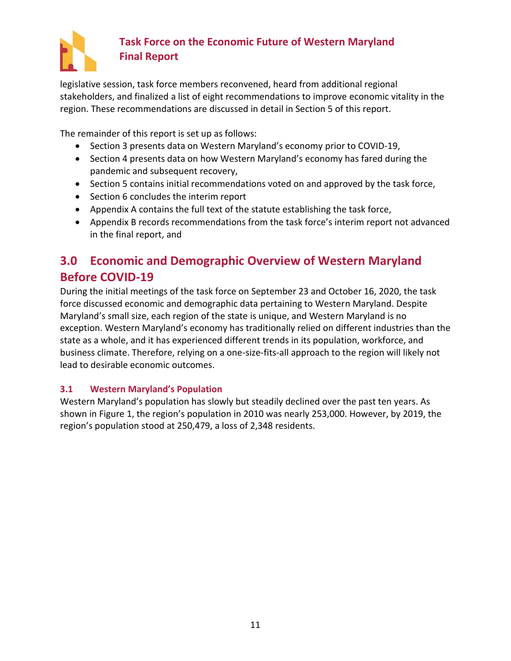

legislative session, task force members reconvened, heard from additional regional stakeholders, and finalized a list of eight recommendations to improve economic vitality in the region. These recommendations are discussed in detail in Section 5 of this report.

The remainder of this report is set up as follows:

- Section 3 presents data on Western Maryland's economy prior to COVID-19,
- Section 4 presents data on how Western Maryland's economy has fared during the pandemic and subsequent recovery,
- Section 5 contains initial recommendations voted on and approved by the task force,
- Section 6 concludes the interim report
- Appendix A contains the full text of the statute establishing the task force,
- Appendix B records recommendations from the task force's interim report not advanced in the final report, and

# <span id="page-11-0"></span>**3.0 Economic and Demographic Overview of Western Maryland Before COVID-19**

During the initial meetings of the task force on September 23 and October 16, 2020, the task force discussed economic and demographic data pertaining to Western Maryland. Despite Maryland's small size, each region of the state is unique, and Western Maryland is no exception. Western Maryland's economy has traditionally relied on different industries than the state as a whole, and it has experienced different trends in its population, workforce, and business climate. Therefore, relying on a one-size-fits-all approach to the region will likely not lead to desirable economic outcomes.

#### <span id="page-11-1"></span>**3.1 Western Maryland's Population**

Western Maryland's population has slowly but steadily declined over the past ten years. As shown i[n Figure 1](#page-12-0), the region's population in 2010 was nearly 253,000. However, by 2019, the region's population stood at 250,479, a loss of 2,348 residents.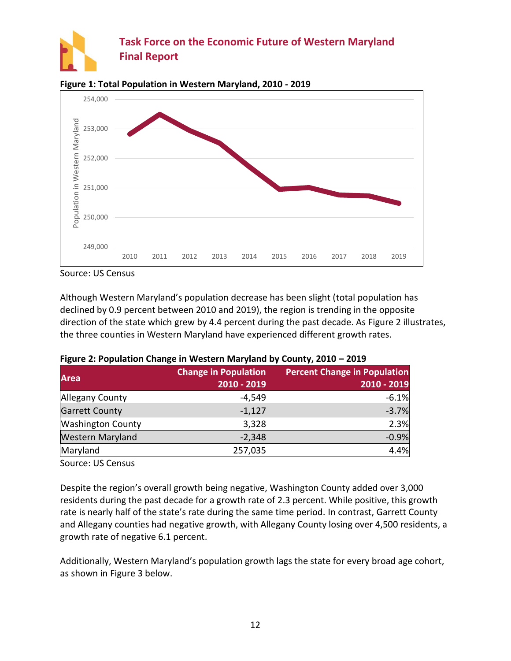



<span id="page-12-0"></span>**Figure 1: Total Population in Western Maryland, 2010 - 2019**

Source: US Census

Although Western Maryland's population decrease has been slight (total population has declined by 0.9 percent between 2010 and 2019), the region is trending in the opposite direction of the state which grew by 4.4 percent during the past decade. As [Figure 2](#page-12-1) illustrates, the three counties in Western Maryland have experienced different growth rates.

| Area                     | <b>Change in Population</b><br>2010 - 2019 | <b>Percent Change in Population</b><br>2010 - 2019 |
|--------------------------|--------------------------------------------|----------------------------------------------------|
| <b>Allegany County</b>   | -4,549                                     | $-6.1%$                                            |
| <b>Garrett County</b>    | $-1,127$                                   | $-3.7%$                                            |
| <b>Washington County</b> | 3,328                                      | 2.3%                                               |
| <b>Western Maryland</b>  | $-2,348$                                   | $-0.9%$                                            |
| Maryland                 | 257,035                                    | 4.4%                                               |
|                          |                                            |                                                    |

<span id="page-12-1"></span>**Figure 2: Population Change in Western Maryland by County, 2010 – 2019**

Source: US Census

Despite the region's overall growth being negative, Washington County added over 3,000 residents during the past decade for a growth rate of 2.3 percent. While positive, this growth rate is nearly half of the state's rate during the same time period. In contrast, Garrett County and Allegany counties had negative growth, with Allegany County losing over 4,500 residents, a growth rate of negative 6.1 percent.

Additionally, Western Maryland's population growth lags the state for every broad age cohort, as shown in [Figure 3](#page-13-0) below.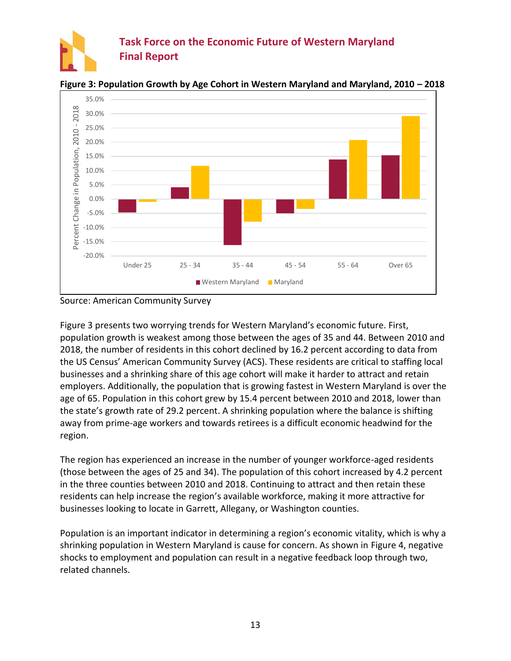



<span id="page-13-0"></span>**Figure 3: Population Growth by Age Cohort in Western Maryland and Maryland, 2010 – 2018**

Source: American Community Survey

[Figure 3](#page-13-0) presents two worrying trends for Western Maryland's economic future. First, population growth is weakest among those between the ages of 35 and 44. Between 2010 and 2018, the number of residents in this cohort declined by 16.2 percent according to data from the US Census' American Community Survey (ACS). These residents are critical to staffing local businesses and a shrinking share of this age cohort will make it harder to attract and retain employers. Additionally, the population that is growing fastest in Western Maryland is over the age of 65. Population in this cohort grew by 15.4 percent between 2010 and 2018, lower than the state's growth rate of 29.2 percent. A shrinking population where the balance is shifting away from prime-age workers and towards retirees is a difficult economic headwind for the region.

The region has experienced an increase in the number of younger workforce-aged residents (those between the ages of 25 and 34). The population of this cohort increased by 4.2 percent in the three counties between 2010 and 2018. Continuing to attract and then retain these residents can help increase the region's available workforce, making it more attractive for businesses looking to locate in Garrett, Allegany, or Washington counties.

Population is an important indicator in determining a region's economic vitality, which is why a shrinking population in Western Maryland is cause for concern. As shown in [Figure 4,](#page-14-0) negative shocks to employment and population can result in a negative feedback loop through two, related channels.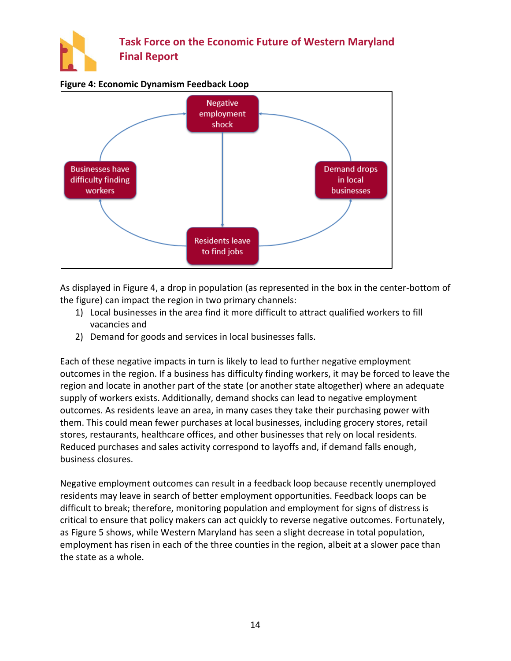

<span id="page-14-0"></span>**Figure 4: Economic Dynamism Feedback Loop**



As displayed in [Figure 4,](#page-14-0) a drop in population (as represented in the box in the center-bottom of the figure) can impact the region in two primary channels:

- 1) Local businesses in the area find it more difficult to attract qualified workers to fill vacancies and
- 2) Demand for goods and services in local businesses falls.

Each of these negative impacts in turn is likely to lead to further negative employment outcomes in the region. If a business has difficulty finding workers, it may be forced to leave the region and locate in another part of the state (or another state altogether) where an adequate supply of workers exists. Additionally, demand shocks can lead to negative employment outcomes. As residents leave an area, in many cases they take their purchasing power with them. This could mean fewer purchases at local businesses, including grocery stores, retail stores, restaurants, healthcare offices, and other businesses that rely on local residents. Reduced purchases and sales activity correspond to layoffs and, if demand falls enough, business closures.

Negative employment outcomes can result in a feedback loop because recently unemployed residents may leave in search of better employment opportunities. Feedback loops can be difficult to break; therefore, monitoring population and employment for signs of distress is critical to ensure that policy makers can act quickly to reverse negative outcomes. Fortunately, as [Figure 5](#page-15-1) shows, while Western Maryland has seen a slight decrease in total population, employment has risen in each of the three counties in the region, albeit at a slower pace than the state as a whole.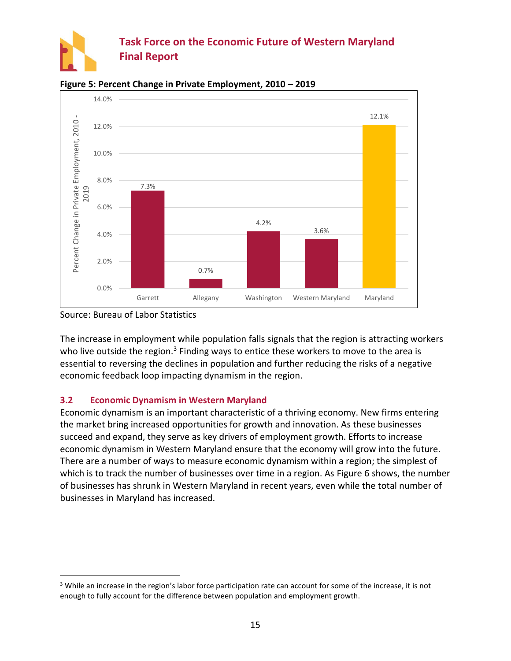



<span id="page-15-1"></span>**Figure 5: Percent Change in Private Employment, 2010 – 2019**

The increase in employment while population falls signals that the region is attracting workers who live outside the region. $3$  Finding ways to entice these workers to move to the area is essential to reversing the declines in population and further reducing the risks of a negative economic feedback loop impacting dynamism in the region.

### <span id="page-15-0"></span>**3.2 Economic Dynamism in Western Maryland**

Economic dynamism is an important characteristic of a thriving economy. New firms entering the market bring increased opportunities for growth and innovation. As these businesses succeed and expand, they serve as key drivers of employment growth. Efforts to increase economic dynamism in Western Maryland ensure that the economy will grow into the future. There are a number of ways to measure economic dynamism within a region; the simplest of which is to track the number of businesses over time in a region. As [Figure 6](#page-16-0) shows, the number of businesses has shrunk in Western Maryland in recent years, even while the total number of businesses in Maryland has increased.

Source: Bureau of Labor Statistics

 $3$  While an increase in the region's labor force participation rate can account for some of the increase, it is not enough to fully account for the difference between population and employment growth.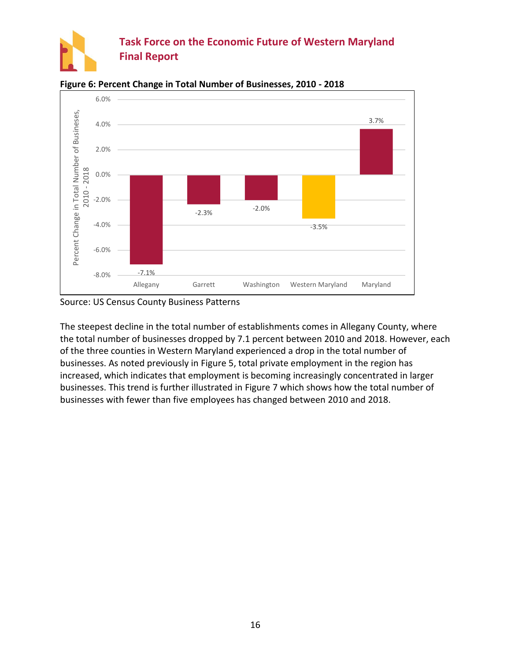



<span id="page-16-0"></span>**Figure 6: Percent Change in Total Number of Businesses, 2010 - 2018**

Source: US Census County Business Patterns

The steepest decline in the total number of establishments comes in Allegany County, where the total number of businesses dropped by 7.1 percent between 2010 and 2018. However, each of the three counties in Western Maryland experienced a drop in the total number of businesses. As noted previously i[n Figure 5,](#page-15-1) total private employment in the region has increased, which indicates that employment is becoming increasingly concentrated in larger businesses. This trend is further illustrated in [Figure 7](#page-17-0) which shows how the total number of businesses with fewer than five employees has changed between 2010 and 2018.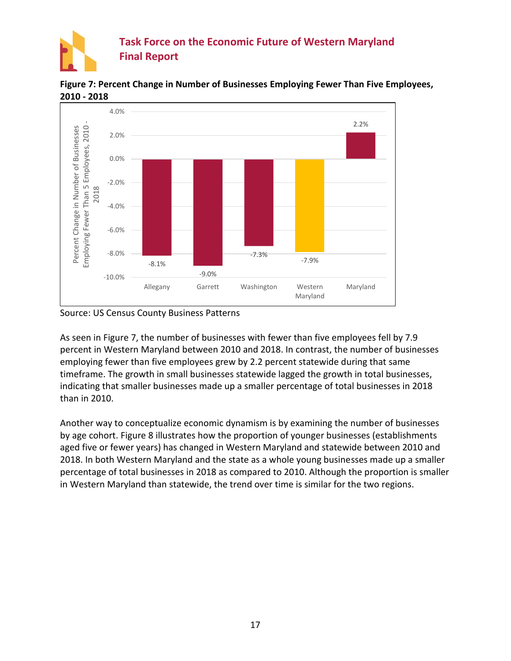

<span id="page-17-0"></span>



Source: US Census County Business Patterns

As seen in [Figure 7,](#page-17-0) the number of businesses with fewer than five employees fell by 7.9 percent in Western Maryland between 2010 and 2018. In contrast, the number of businesses employing fewer than five employees grew by 2.2 percent statewide during that same timeframe. The growth in small businesses statewide lagged the growth in total businesses, indicating that smaller businesses made up a smaller percentage of total businesses in 2018 than in 2010.

Another way to conceptualize economic dynamism is by examining the number of businesses by age cohort. [Figure 8](#page-18-1) illustrates how the proportion of younger businesses (establishments aged five or fewer years) has changed in Western Maryland and statewide between 2010 and 2018. In both Western Maryland and the state as a whole young businesses made up a smaller percentage of total businesses in 2018 as compared to 2010. Although the proportion is smaller in Western Maryland than statewide, the trend over time is similar for the two regions.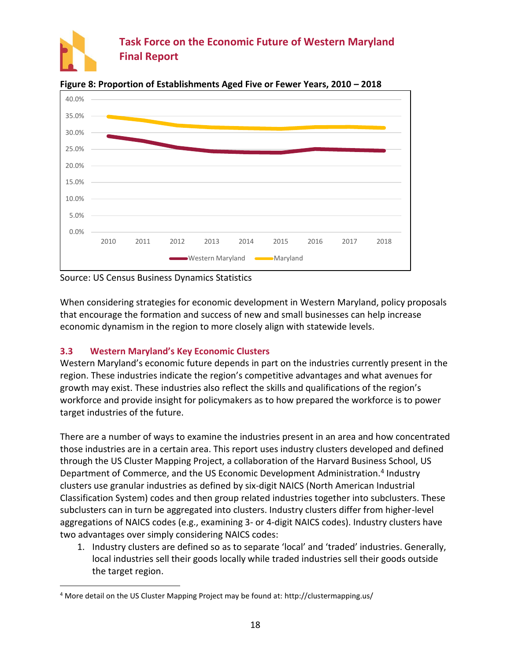



<span id="page-18-1"></span>**Figure 8: Proportion of Establishments Aged Five or Fewer Years, 2010 – 2018**

Source: US Census Business Dynamics Statistics

When considering strategies for economic development in Western Maryland, policy proposals that encourage the formation and success of new and small businesses can help increase economic dynamism in the region to more closely align with statewide levels.

#### <span id="page-18-0"></span>**3.3 Western Maryland's Key Economic Clusters**

Western Maryland's economic future depends in part on the industries currently present in the region. These industries indicate the region's competitive advantages and what avenues for growth may exist. These industries also reflect the skills and qualifications of the region's workforce and provide insight for policymakers as to how prepared the workforce is to power target industries of the future.

There are a number of ways to examine the industries present in an area and how concentrated those industries are in a certain area. This report uses industry clusters developed and defined through the US Cluster Mapping Project, a collaboration of the Harvard Business School, US Department of Commerce, and the US Economic Development Administration.<sup>4</sup> Industry clusters use granular industries as defined by six-digit NAICS (North American Industrial Classification System) codes and then group related industries together into subclusters. These subclusters can in turn be aggregated into clusters. Industry clusters differ from higher-level aggregations of NAICS codes (e.g., examining 3- or 4-digit NAICS codes). Industry clusters have two advantages over simply considering NAICS codes:

1. Industry clusters are defined so as to separate 'local' and 'traded' industries. Generally, local industries sell their goods locally while traded industries sell their goods outside the target region.

<sup>4</sup> More detail on the US Cluster Mapping Project may be found at: http://clustermapping.us/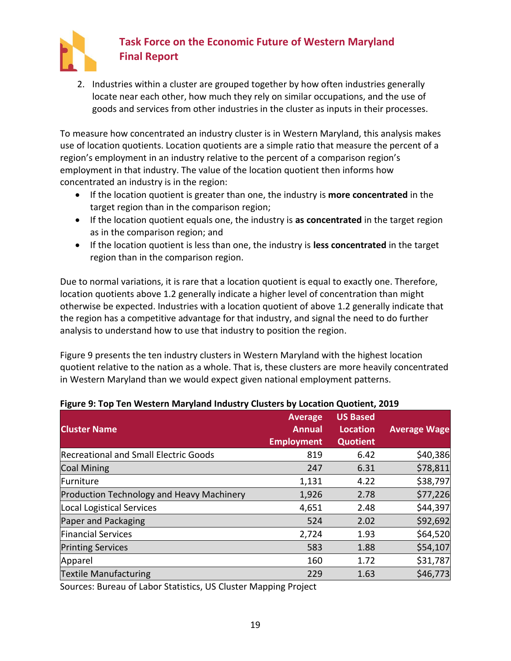

2. Industries within a cluster are grouped together by how often industries generally locate near each other, how much they rely on similar occupations, and the use of goods and services from other industries in the cluster as inputs in their processes.

To measure how concentrated an industry cluster is in Western Maryland, this analysis makes use of location quotients. Location quotients are a simple ratio that measure the percent of a region's employment in an industry relative to the percent of a comparison region's employment in that industry. The value of the location quotient then informs how concentrated an industry is in the region:

- If the location quotient is greater than one, the industry is **more concentrated** in the target region than in the comparison region;
- If the location quotient equals one, the industry is **as concentrated** in the target region as in the comparison region; and
- If the location quotient is less than one, the industry is **less concentrated** in the target region than in the comparison region.

Due to normal variations, it is rare that a location quotient is equal to exactly one. Therefore, location quotients above 1.2 generally indicate a higher level of concentration than might otherwise be expected. Industries with a location quotient of above 1.2 generally indicate that the region has a competitive advantage for that industry, and signal the need to do further analysis to understand how to use that industry to position the region.

[Figure 9](#page-19-0) presents the ten industry clusters in Western Maryland with the highest location quotient relative to the nation as a whole. That is, these clusters are more heavily concentrated in Western Maryland than we would expect given national employment patterns.

| <b>Cluster Name</b>                              | <b>Average</b><br><b>Annual</b><br><b>Employment</b> | <b>US Based</b><br>Location<br><b>Quotient</b> | <b>Average Wage</b> |
|--------------------------------------------------|------------------------------------------------------|------------------------------------------------|---------------------|
| <b>Recreational and Small Electric Goods</b>     | 819                                                  | 6.42                                           | \$40,386            |
| <b>Coal Mining</b>                               | 247                                                  | 6.31                                           | \$78,811            |
| Furniture                                        | 1,131                                                | 4.22                                           | \$38,797            |
| <b>Production Technology and Heavy Machinery</b> | 1,926                                                | 2.78                                           | \$77,226            |
| Local Logistical Services                        | 4,651                                                | 2.48                                           | \$44,397            |
| Paper and Packaging                              | 524                                                  | 2.02                                           | \$92,692            |
| <b>Financial Services</b>                        | 2,724                                                | 1.93                                           | \$64,520            |
| <b>Printing Services</b>                         | 583                                                  | 1.88                                           | \$54,107            |
| Apparel                                          | 160                                                  | 1.72                                           | \$31,787            |
| <b>Textile Manufacturing</b>                     | 229                                                  | 1.63                                           | \$46,773            |

#### <span id="page-19-0"></span>**Figure 9: Top Ten Western Maryland Industry Clusters by Location Quotient, 2019**

Sources: Bureau of Labor Statistics, US Cluster Mapping Project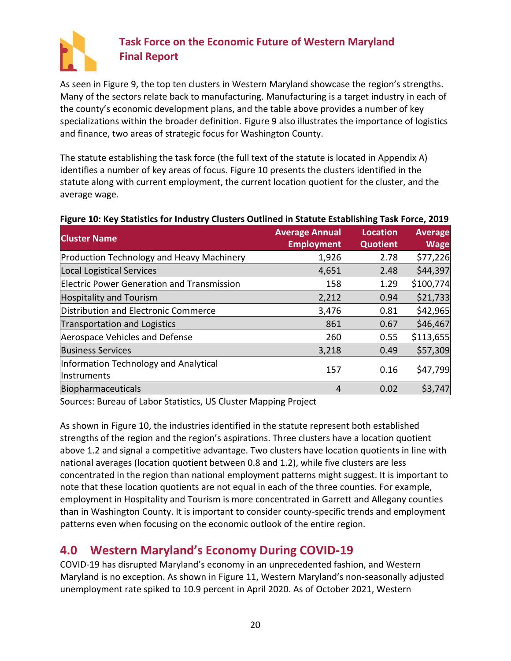

As seen in [Figure 9](#page-19-0), the top ten clusters in Western Maryland showcase the region's strengths. Many of the sectors relate back to manufacturing. Manufacturing is a target industry in each of the county's economic development plans, and the table above provides a number of key specializations within the broader definition. [Figure 9](#page-19-0) also illustrates the importance of logistics and finance, two areas of strategic focus for Washington County.

The statute establishing the task force (the full text of the statute is located in Appendix A) identifies a number of key areas of focus[. Figure 10](#page-20-1) presents the clusters identified in the statute along with current employment, the current location quotient for the cluster, and the average wage.

### <span id="page-20-1"></span>**Figure 10: Key Statistics for Industry Clusters Outlined in Statute Establishing Task Force, 2019**

| <b>Cluster Name</b>                                  | <b>Average Annual</b><br><b>Employment</b> | <b>Location</b><br><b>Quotient</b> | <b>Average</b><br><b>Wage</b> |
|------------------------------------------------------|--------------------------------------------|------------------------------------|-------------------------------|
| <b>Production Technology and Heavy Machinery</b>     | 1,926                                      | 2.78                               | \$77,226                      |
| <b>Local Logistical Services</b>                     | 4,651                                      | 2.48                               | \$44,397                      |
| <b>Electric Power Generation and Transmission</b>    | 158                                        | 1.29                               | \$100,774                     |
| <b>Hospitality and Tourism</b>                       | 2,212                                      | 0.94                               | \$21,733                      |
| Distribution and Electronic Commerce                 | 3,476                                      | 0.81                               | \$42,965                      |
| Transportation and Logistics                         | 861                                        | 0.67                               | \$46,467                      |
| Aerospace Vehicles and Defense                       | 260                                        | 0.55                               | \$113,655                     |
| <b>Business Services</b>                             | 3,218                                      | 0.49                               | \$57,309                      |
| Information Technology and Analytical<br>Instruments | 157                                        | 0.16                               | \$47,799                      |
| Biopharmaceuticals                                   | 4                                          | 0.02                               | \$3,747                       |

Sources: Bureau of Labor Statistics, US Cluster Mapping Project

As shown in [Figure 10,](#page-20-1) the industries identified in the statute represent both established strengths of the region and the region's aspirations. Three clusters have a location quotient above 1.2 and signal a competitive advantage. Two clusters have location quotients in line with national averages (location quotient between 0.8 and 1.2), while five clusters are less concentrated in the region than national employment patterns might suggest. It is important to note that these location quotients are not equal in each of the three counties. For example, employment in Hospitality and Tourism is more concentrated in Garrett and Allegany counties than in Washington County. It is important to consider county-specific trends and employment patterns even when focusing on the economic outlook of the entire region.

### <span id="page-20-0"></span>**4.0 Western Maryland's Economy During COVID-19**

COVID-19 has disrupted Maryland's economy in an unprecedented fashion, and Western Maryland is no exception. As shown i[n Figure 11](#page-21-0), Western Maryland's non-seasonally adjusted unemployment rate spiked to 10.9 percent in April 2020. As of October 2021, Western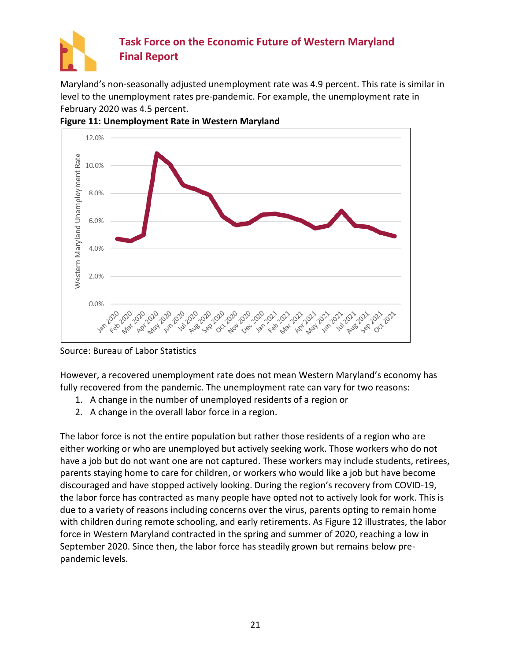

Maryland's non-seasonally adjusted unemployment rate was 4.9 percent. This rate is similar in level to the unemployment rates pre-pandemic. For example, the unemployment rate in February 2020 was 4.5 percent.



<span id="page-21-0"></span>

However, a recovered unemployment rate does not mean Western Maryland's economy has fully recovered from the pandemic. The unemployment rate can vary for two reasons:

- 1. A change in the number of unemployed residents of a region or
- 2. A change in the overall labor force in a region.

The labor force is not the entire population but rather those residents of a region who are either working or who are unemployed but actively seeking work. Those workers who do not have a job but do not want one are not captured. These workers may include students, retirees, parents staying home to care for children, or workers who would like a job but have become discouraged and have stopped actively looking. During the region's recovery from COVID-19, the labor force has contracted as many people have opted not to actively look for work. This is due to a variety of reasons including concerns over the virus, parents opting to remain home with children during remote schooling, and early retirements. As [Figure 12](#page-22-0) illustrates, the labor force in Western Maryland contracted in the spring and summer of 2020, reaching a low in September 2020. Since then, the labor force has steadily grown but remains below prepandemic levels.

Source: Bureau of Labor Statistics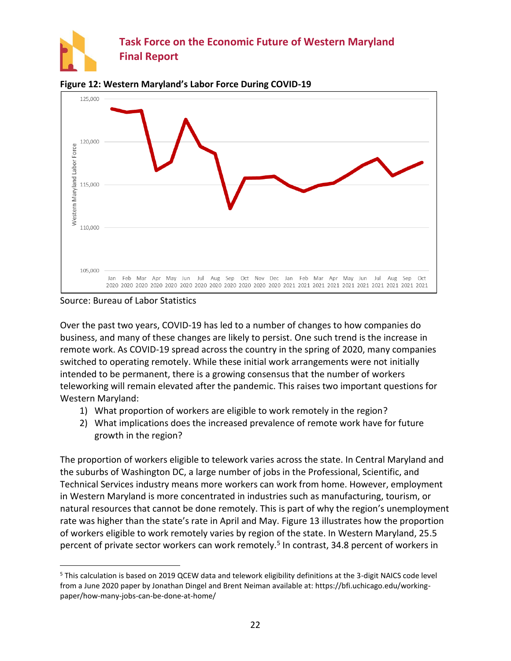

<span id="page-22-0"></span>



Source: Bureau of Labor Statistics

Over the past two years, COVID-19 has led to a number of changes to how companies do business, and many of these changes are likely to persist. One such trend is the increase in remote work. As COVID-19 spread across the country in the spring of 2020, many companies switched to operating remotely. While these initial work arrangements were not initially intended to be permanent, there is a growing consensus that the number of workers teleworking will remain elevated after the pandemic. This raises two important questions for Western Maryland:

- 1) What proportion of workers are eligible to work remotely in the region?
- 2) What implications does the increased prevalence of remote work have for future growth in the region?

The proportion of workers eligible to telework varies across the state. In Central Maryland and the suburbs of Washington DC, a large number of jobs in the Professional, Scientific, and Technical Services industry means more workers can work from home. However, employment in Western Maryland is more concentrated in industries such as manufacturing, tourism, or natural resources that cannot be done remotely. This is part of why the region's unemployment rate was higher than the state's rate in April and May. [Figure 13](#page-23-1) illustrates how the proportion of workers eligible to work remotely varies by region of the state. In Western Maryland, 25.5 percent of private sector workers can work remotely.<sup>5</sup> In contrast, 34.8 percent of workers in

<sup>5</sup> This calculation is based on 2019 QCEW data and telework eligibility definitions at the 3-digit NAICS code level from a June 2020 paper by Jonathan Dingel and Brent Neiman available at: https://bfi.uchicago.edu/workingpaper/how-many-jobs-can-be-done-at-home/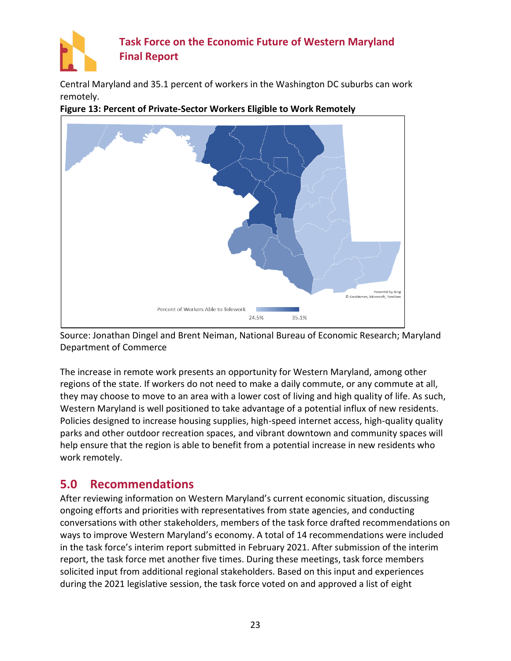

Central Maryland and 35.1 percent of workers in the Washington DC suburbs can work remotely.

<span id="page-23-1"></span>**Figure 13: Percent of Private-Sector Workers Eligible to Work Remotely**





The increase in remote work presents an opportunity for Western Maryland, among other regions of the state. If workers do not need to make a daily commute, or any commute at all, they may choose to move to an area with a lower cost of living and high quality of life. As such, Western Maryland is well positioned to take advantage of a potential influx of new residents. Policies designed to increase housing supplies, high-speed internet access, high-quality quality parks and other outdoor recreation spaces, and vibrant downtown and community spaces will help ensure that the region is able to benefit from a potential increase in new residents who work remotely.

### <span id="page-23-0"></span>**5.0 Recommendations**

After reviewing information on Western Maryland's current economic situation, discussing ongoing efforts and priorities with representatives from state agencies, and conducting conversations with other stakeholders, members of the task force drafted recommendations on ways to improve Western Maryland's economy. A total of 14 recommendations were included in the task force's interim report submitted in February 2021. After submission of the interim report, the task force met another five times. During these meetings, task force members solicited input from additional regional stakeholders. Based on this input and experiences during the 2021 legislative session, the task force voted on and approved a list of eight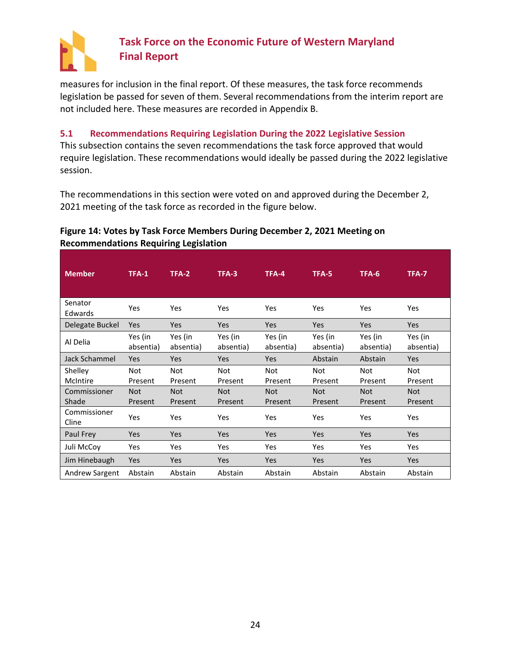

measures for inclusion in the final report. Of these measures, the task force recommends legislation be passed for seven of them. Several recommendations from the interim report are not included here. These measures are recorded in Appendix B.

#### <span id="page-24-0"></span>**5.1 Recommendations Requiring Legislation During the 2022 Legislative Session**

This subsection contains the seven recommendations the task force approved that would require legislation. These recommendations would ideally be passed during the 2022 legislative session.

The recommendations in this section were voted on and approved during the December 2, 2021 meeting of the task force as recorded in the figure below.

#### **Figure 14: Votes by Task Force Members During December 2, 2021 Meeting on Recommendations Requiring Legislation**

| <b>Member</b>         | TFA-1                 | TFA-2                 | TFA-3                 | TFA-4                 | TFA-5                 | TFA-6                 | TFA-7                 |
|-----------------------|-----------------------|-----------------------|-----------------------|-----------------------|-----------------------|-----------------------|-----------------------|
| Senator<br>Edwards    | Yes                   | Yes                   | Yes                   | Yes                   | Yes                   | Yes                   | Yes                   |
| Delegate Buckel       | Yes                   | Yes                   | <b>Yes</b>            | <b>Yes</b>            | <b>Yes</b>            | <b>Yes</b>            | Yes                   |
| Al Delia              | Yes (in<br>absentia)  | Yes (in<br>absentia)  | Yes (in<br>absentia)  | Yes (in<br>absentia)  | Yes (in<br>absentia)  | Yes (in<br>absentia)  | Yes (in<br>absentia)  |
| Jack Schammel         | Yes                   | <b>Yes</b>            | <b>Yes</b>            | Yes                   | Abstain               | Abstain               | Yes                   |
| Shelley<br>McIntire   | <b>Not</b><br>Present | Not<br>Present        | <b>Not</b><br>Present | <b>Not</b><br>Present | Not<br>Present        | <b>Not</b><br>Present | <b>Not</b><br>Present |
| Commissioner<br>Shade | <b>Not</b><br>Present | <b>Not</b><br>Present | <b>Not</b><br>Present | <b>Not</b><br>Present | <b>Not</b><br>Present | <b>Not</b><br>Present | <b>Not</b><br>Present |
| Commissioner<br>Cline | Yes                   | Yes                   | Yes                   | Yes                   | Yes                   | Yes                   | <b>Yes</b>            |
| Paul Frey             | Yes                   | <b>Yes</b>            | <b>Yes</b>            | Yes                   | <b>Yes</b>            | Yes                   | <b>Yes</b>            |
| Juli McCoy            | <b>Yes</b>            | <b>Yes</b>            | Yes                   | <b>Yes</b>            | Yes                   | <b>Yes</b>            | Yes                   |
| Jim Hinebaugh         | Yes                   | Yes                   | <b>Yes</b>            | Yes                   | Yes                   | <b>Yes</b>            | <b>Yes</b>            |
| Andrew Sargent        | Abstain               | Abstain               | Abstain               | Abstain               | Abstain               | Abstain               | Abstain               |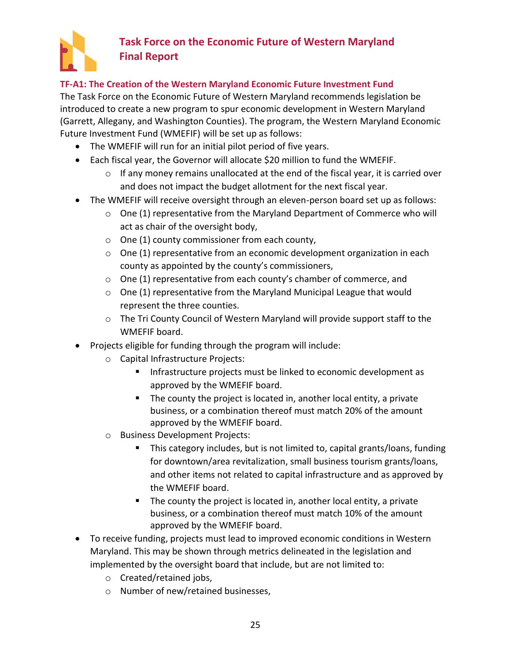

#### <span id="page-25-0"></span>**TF-A1: The Creation of the Western Maryland Economic Future Investment Fund**

The Task Force on the Economic Future of Western Maryland recommends legislation be introduced to create a new program to spur economic development in Western Maryland (Garrett, Allegany, and Washington Counties). The program, the Western Maryland Economic Future Investment Fund (WMEFIF) will be set up as follows:

- The WMEFIF will run for an initial pilot period of five years.
- Each fiscal year, the Governor will allocate \$20 million to fund the WMEFIF.
	- $\circ$  If any money remains unallocated at the end of the fiscal year, it is carried over and does not impact the budget allotment for the next fiscal year.
- The WMEFIF will receive oversight through an eleven-person board set up as follows:
	- $\circ$  One (1) representative from the Maryland Department of Commerce who will act as chair of the oversight body,
	- o One (1) county commissioner from each county,
	- $\circ$  One (1) representative from an economic development organization in each county as appointed by the county's commissioners,
	- o One (1) representative from each county's chamber of commerce, and
	- $\circ$  One (1) representative from the Maryland Municipal League that would represent the three counties.
	- $\circ$  The Tri County Council of Western Maryland will provide support staff to the WMEFIF board.
- Projects eligible for funding through the program will include:
	- o Capital Infrastructure Projects:
		- **EXPLO Infrastructure projects must be linked to economic development as** approved by the WMEFIF board.
		- The county the project is located in, another local entity, a private business, or a combination thereof must match 20% of the amount approved by the WMEFIF board.
	- o Business Development Projects:
		- This category includes, but is not limited to, capital grants/loans, funding for downtown/area revitalization, small business tourism grants/loans, and other items not related to capital infrastructure and as approved by the WMEFIF board.
		- The county the project is located in, another local entity, a private business, or a combination thereof must match 10% of the amount approved by the WMEFIF board.
- To receive funding, projects must lead to improved economic conditions in Western Maryland. This may be shown through metrics delineated in the legislation and implemented by the oversight board that include, but are not limited to:
	- o Created/retained jobs,
	- o Number of new/retained businesses,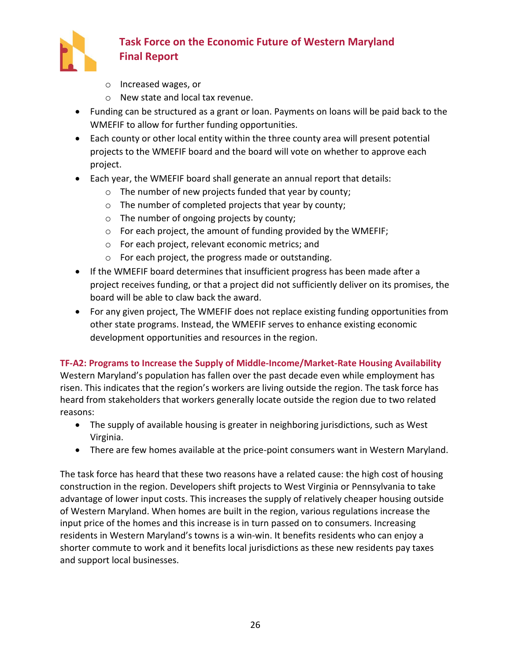

- o Increased wages, or
- o New state and local tax revenue.
- Funding can be structured as a grant or loan. Payments on loans will be paid back to the WMEFIF to allow for further funding opportunities.
- Each county or other local entity within the three county area will present potential projects to the WMEFIF board and the board will vote on whether to approve each project.
- Each year, the WMEFIF board shall generate an annual report that details:
	- o The number of new projects funded that year by county;
	- o The number of completed projects that year by county;
	- o The number of ongoing projects by county;
	- o For each project, the amount of funding provided by the WMEFIF;
	- o For each project, relevant economic metrics; and
	- o For each project, the progress made or outstanding.
- If the WMEFIF board determines that insufficient progress has been made after a project receives funding, or that a project did not sufficiently deliver on its promises, the board will be able to claw back the award.
- For any given project, The WMEFIF does not replace existing funding opportunities from other state programs. Instead, the WMEFIF serves to enhance existing economic development opportunities and resources in the region.

### <span id="page-26-0"></span>**TF-A2: Programs to Increase the Supply of Middle-Income/Market-Rate Housing Availability**

Western Maryland's population has fallen over the past decade even while employment has risen. This indicates that the region's workers are living outside the region. The task force has heard from stakeholders that workers generally locate outside the region due to two related reasons:

- The supply of available housing is greater in neighboring jurisdictions, such as West Virginia.
- There are few homes available at the price-point consumers want in Western Maryland.

The task force has heard that these two reasons have a related cause: the high cost of housing construction in the region. Developers shift projects to West Virginia or Pennsylvania to take advantage of lower input costs. This increases the supply of relatively cheaper housing outside of Western Maryland. When homes are built in the region, various regulations increase the input price of the homes and this increase is in turn passed on to consumers. Increasing residents in Western Maryland's towns is a win-win. It benefits residents who can enjoy a shorter commute to work and it benefits local jurisdictions as these new residents pay taxes and support local businesses.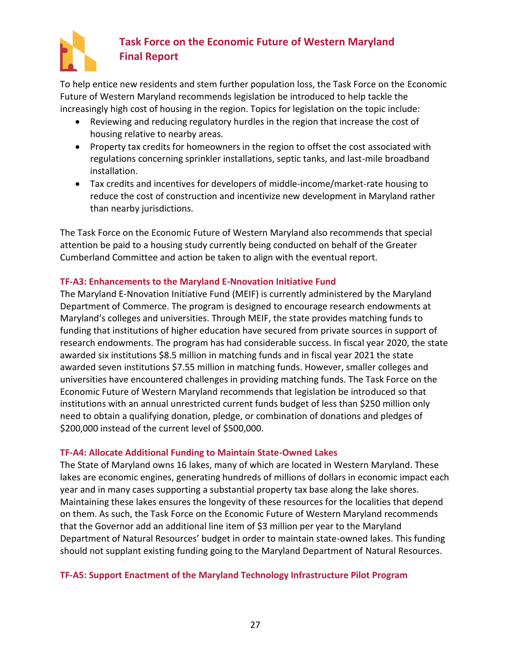

To help entice new residents and stem further population loss, the Task Force on the Economic Future of Western Maryland recommends legislation be introduced to help tackle the increasingly high cost of housing in the region. Topics for legislation on the topic include:

- Reviewing and reducing regulatory hurdles in the region that increase the cost of housing relative to nearby areas.
- Property tax credits for homeowners in the region to offset the cost associated with regulations concerning sprinkler installations, septic tanks, and last-mile broadband installation.
- Tax credits and incentives for developers of middle-income/market-rate housing to reduce the cost of construction and incentivize new development in Maryland rather than nearby jurisdictions.

The Task Force on the Economic Future of Western Maryland also recommends that special attention be paid to a housing study currently being conducted on behalf of the Greater Cumberland Committee and action be taken to align with the eventual report.

### <span id="page-27-0"></span>**TF-A3: Enhancements to the Maryland E-Nnovation Initiative Fund**

The Maryland E-Nnovation Initiative Fund (MEIF) is currently administered by the Maryland Department of Commerce. The program is designed to encourage research endowments at Maryland's colleges and universities. Through MEIF, the state provides matching funds to funding that institutions of higher education have secured from private sources in support of research endowments. The program has had considerable success. In fiscal year 2020, the state awarded six institutions \$8.5 million in matching funds and in fiscal year 2021 the state awarded seven institutions \$7.55 million in matching funds. However, smaller colleges and universities have encountered challenges in providing matching funds. The Task Force on the Economic Future of Western Maryland recommends that legislation be introduced so that institutions with an annual unrestricted current funds budget of less than \$250 million only need to obtain a qualifying donation, pledge, or combination of donations and pledges of \$200,000 instead of the current level of \$500,000.

#### <span id="page-27-1"></span>**TF-A4: Allocate Additional Funding to Maintain State-Owned Lakes**

The State of Maryland owns 16 lakes, many of which are located in Western Maryland. These lakes are economic engines, generating hundreds of millions of dollars in economic impact each year and in many cases supporting a substantial property tax base along the lake shores. Maintaining these lakes ensures the longevity of these resources for the localities that depend on them. As such, the Task Force on the Economic Future of Western Maryland recommends that the Governor add an additional line item of \$3 million per year to the Maryland Department of Natural Resources' budget in order to maintain state-owned lakes. This funding should not supplant existing funding going to the Maryland Department of Natural Resources.

#### <span id="page-27-2"></span>**TF-A5: Support Enactment of the Maryland Technology Infrastructure Pilot Program**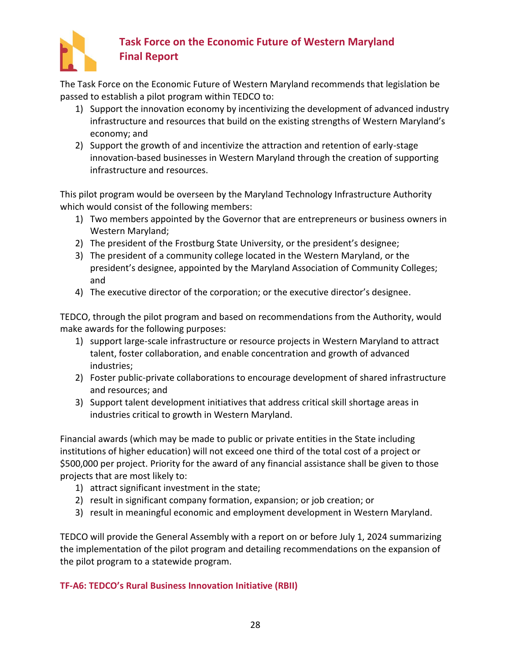

The Task Force on the Economic Future of Western Maryland recommends that legislation be passed to establish a pilot program within TEDCO to:

- 1) Support the innovation economy by incentivizing the development of advanced industry infrastructure and resources that build on the existing strengths of Western Maryland's economy; and
- 2) Support the growth of and incentivize the attraction and retention of early-stage innovation-based businesses in Western Maryland through the creation of supporting infrastructure and resources.

This pilot program would be overseen by the Maryland Technology Infrastructure Authority which would consist of the following members:

- 1) Two members appointed by the Governor that are entrepreneurs or business owners in Western Maryland;
- 2) The president of the Frostburg State University, or the president's designee;
- 3) The president of a community college located in the Western Maryland, or the president's designee, appointed by the Maryland Association of Community Colleges; and
- 4) The executive director of the corporation; or the executive director's designee.

TEDCO, through the pilot program and based on recommendations from the Authority, would make awards for the following purposes:

- 1) support large-scale infrastructure or resource projects in Western Maryland to attract talent, foster collaboration, and enable concentration and growth of advanced industries;
- 2) Foster public-private collaborations to encourage development of shared infrastructure and resources; and
- 3) Support talent development initiatives that address critical skill shortage areas in industries critical to growth in Western Maryland.

Financial awards (which may be made to public or private entities in the State including institutions of higher education) will not exceed one third of the total cost of a project or \$500,000 per project. Priority for the award of any financial assistance shall be given to those projects that are most likely to:

- 1) attract significant investment in the state;
- 2) result in significant company formation, expansion; or job creation; or
- 3) result in meaningful economic and employment development in Western Maryland.

TEDCO will provide the General Assembly with a report on or before July 1, 2024 summarizing the implementation of the pilot program and detailing recommendations on the expansion of the pilot program to a statewide program.

### <span id="page-28-0"></span>**TF-A6: TEDCO's Rural Business Innovation Initiative (RBII)**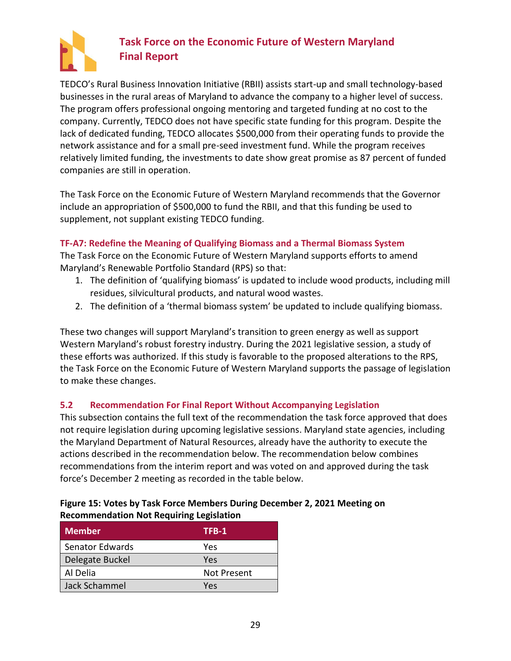

TEDCO's Rural Business Innovation Initiative (RBII) assists start-up and small technology-based businesses in the rural areas of Maryland to advance the company to a higher level of success. The program offers professional ongoing mentoring and targeted funding at no cost to the company. Currently, TEDCO does not have specific state funding for this program. Despite the lack of dedicated funding, TEDCO allocates \$500,000 from their operating funds to provide the network assistance and for a small pre-seed investment fund. While the program receives relatively limited funding, the investments to date show great promise as 87 percent of funded companies are still in operation.

The Task Force on the Economic Future of Western Maryland recommends that the Governor include an appropriation of \$500,000 to fund the RBII, and that this funding be used to supplement, not supplant existing TEDCO funding.

### <span id="page-29-0"></span>**TF-A7: Redefine the Meaning of Qualifying Biomass and a Thermal Biomass System**

The Task Force on the Economic Future of Western Maryland supports efforts to amend Maryland's Renewable Portfolio Standard (RPS) so that:

- 1. The definition of 'qualifying biomass' is updated to include wood products, including mill residues, silvicultural products, and natural wood wastes.
- 2. The definition of a 'thermal biomass system' be updated to include qualifying biomass.

These two changes will support Maryland's transition to green energy as well as support Western Maryland's robust forestry industry. During the 2021 legislative session, a study of these efforts was authorized. If this study is favorable to the proposed alterations to the RPS, the Task Force on the Economic Future of Western Maryland supports the passage of legislation to make these changes.

### <span id="page-29-1"></span>**5.2 Recommendation For Final Report Without Accompanying Legislation**

This subsection contains the full text of the recommendation the task force approved that does not require legislation during upcoming legislative sessions. Maryland state agencies, including the Maryland Department of Natural Resources, already have the authority to execute the actions described in the recommendation below. The recommendation below combines recommendations from the interim report and was voted on and approved during the task force's December 2 meeting as recorded in the table below.

| Figure 15: Votes by Task Force Members During December 2, 2021 Meeting on |
|---------------------------------------------------------------------------|
| <b>Recommendation Not Requiring Legislation</b>                           |

| <b>Member</b>          | TFB-1       |
|------------------------|-------------|
| <b>Senator Edwards</b> | Yes         |
| Delegate Buckel        | Yes         |
| Al Delia               | Not Present |
| Jack Schammel          | Yes         |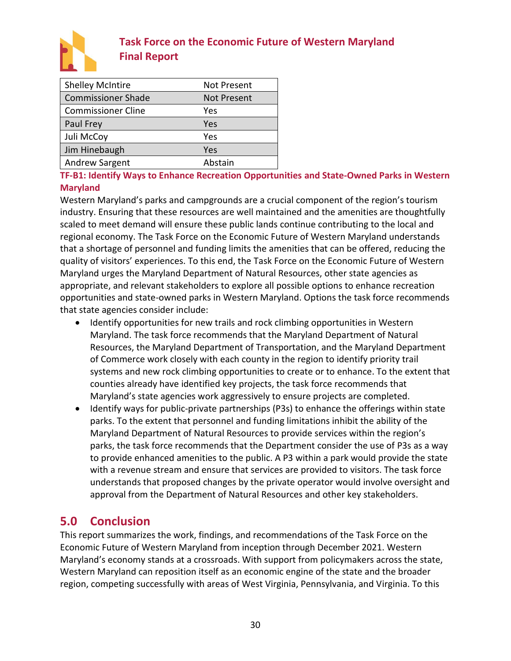

| <b>Shelley McIntire</b>   | <b>Not Present</b> |
|---------------------------|--------------------|
| <b>Commissioner Shade</b> | <b>Not Present</b> |
| <b>Commissioner Cline</b> | Yes                |
| Paul Frey                 | Yes                |
| Juli McCoy                | Yes                |
| Jim Hinebaugh             | Yes                |
| <b>Andrew Sargent</b>     | Abstain            |

<span id="page-30-0"></span>**TF-B1: Identify Ways to Enhance Recreation Opportunities and State-Owned Parks in Western Maryland**

Western Maryland's parks and campgrounds are a crucial component of the region's tourism industry. Ensuring that these resources are well maintained and the amenities are thoughtfully scaled to meet demand will ensure these public lands continue contributing to the local and regional economy. The Task Force on the Economic Future of Western Maryland understands that a shortage of personnel and funding limits the amenities that can be offered, reducing the quality of visitors' experiences. To this end, the Task Force on the Economic Future of Western Maryland urges the Maryland Department of Natural Resources, other state agencies as appropriate, and relevant stakeholders to explore all possible options to enhance recreation opportunities and state-owned parks in Western Maryland. Options the task force recommends that state agencies consider include:

- Identify opportunities for new trails and rock climbing opportunities in Western Maryland. The task force recommends that the Maryland Department of Natural Resources, the Maryland Department of Transportation, and the Maryland Department of Commerce work closely with each county in the region to identify priority trail systems and new rock climbing opportunities to create or to enhance. To the extent that counties already have identified key projects, the task force recommends that Maryland's state agencies work aggressively to ensure projects are completed.
- Identify ways for public-private partnerships (P3s) to enhance the offerings within state parks. To the extent that personnel and funding limitations inhibit the ability of the Maryland Department of Natural Resources to provide services within the region's parks, the task force recommends that the Department consider the use of P3s as a way to provide enhanced amenities to the public. A P3 within a park would provide the state with a revenue stream and ensure that services are provided to visitors. The task force understands that proposed changes by the private operator would involve oversight and approval from the Department of Natural Resources and other key stakeholders.

### <span id="page-30-1"></span>**5.0 Conclusion**

This report summarizes the work, findings, and recommendations of the Task Force on the Economic Future of Western Maryland from inception through December 2021. Western Maryland's economy stands at a crossroads. With support from policymakers across the state, Western Maryland can reposition itself as an economic engine of the state and the broader region, competing successfully with areas of West Virginia, Pennsylvania, and Virginia. To this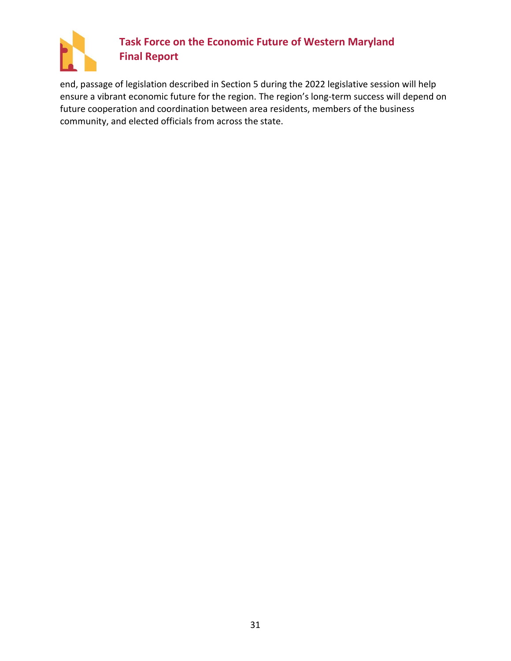

end, passage of legislation described in Section 5 during the 2022 legislative session will help ensure a vibrant economic future for the region. The region's long-term success will depend on future cooperation and coordination between area residents, members of the business community, and elected officials from across the state.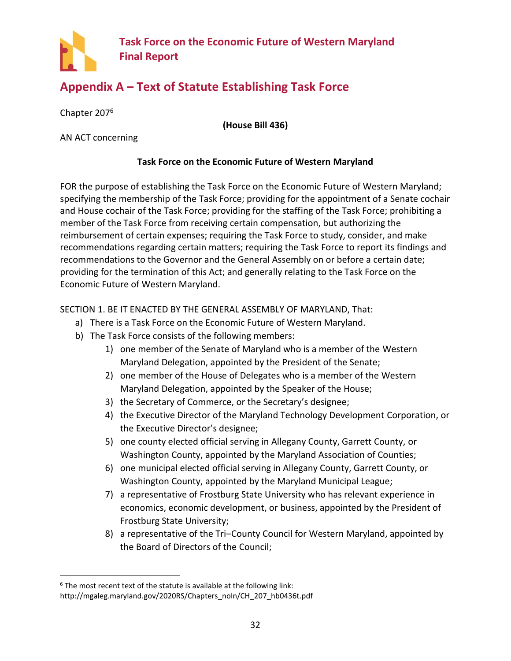

# <span id="page-32-0"></span>**Appendix A – Text of Statute Establishing Task Force**

Chapter 207<sup>6</sup>

**(House Bill 436)**

AN ACT concerning

#### **Task Force on the Economic Future of Western Maryland**

FOR the purpose of establishing the Task Force on the Economic Future of Western Maryland; specifying the membership of the Task Force; providing for the appointment of a Senate cochair and House cochair of the Task Force; providing for the staffing of the Task Force; prohibiting a member of the Task Force from receiving certain compensation, but authorizing the reimbursement of certain expenses; requiring the Task Force to study, consider, and make recommendations regarding certain matters; requiring the Task Force to report its findings and recommendations to the Governor and the General Assembly on or before a certain date; providing for the termination of this Act; and generally relating to the Task Force on the Economic Future of Western Maryland.

### SECTION 1. BE IT ENACTED BY THE GENERAL ASSEMBLY OF MARYLAND, That:

- a) There is a Task Force on the Economic Future of Western Maryland.
- b) The Task Force consists of the following members:
	- 1) one member of the Senate of Maryland who is a member of the Western Maryland Delegation, appointed by the President of the Senate;
	- 2) one member of the House of Delegates who is a member of the Western Maryland Delegation, appointed by the Speaker of the House;
	- 3) the Secretary of Commerce, or the Secretary's designee;
	- 4) the Executive Director of the Maryland Technology Development Corporation, or the Executive Director's designee;
	- 5) one county elected official serving in Allegany County, Garrett County, or Washington County, appointed by the Maryland Association of Counties;
	- 6) one municipal elected official serving in Allegany County, Garrett County, or Washington County, appointed by the Maryland Municipal League;
	- 7) a representative of Frostburg State University who has relevant experience in economics, economic development, or business, appointed by the President of Frostburg State University;
	- 8) a representative of the Tri–County Council for Western Maryland, appointed by the Board of Directors of the Council;

 $6$  The most recent text of the statute is available at the following link:

http://mgaleg.maryland.gov/2020RS/Chapters\_noln/CH\_207\_hb0436t.pdf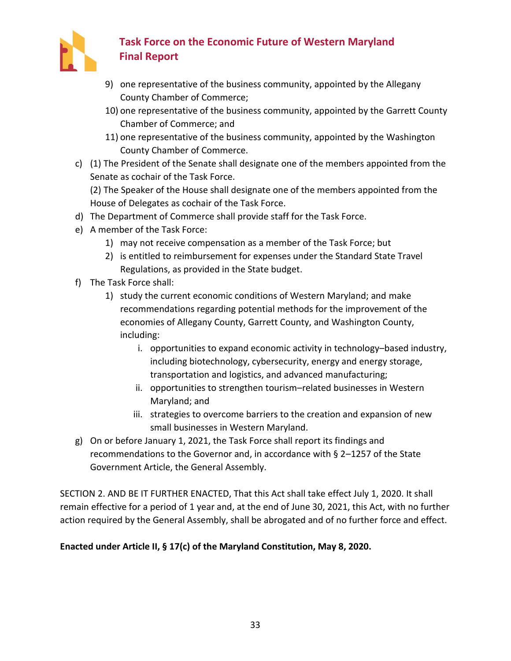

- 9) one representative of the business community, appointed by the Allegany County Chamber of Commerce;
- 10) one representative of the business community, appointed by the Garrett County Chamber of Commerce; and
- 11) one representative of the business community, appointed by the Washington County Chamber of Commerce.
- c) (1) The President of the Senate shall designate one of the members appointed from the Senate as cochair of the Task Force.

(2) The Speaker of the House shall designate one of the members appointed from the House of Delegates as cochair of the Task Force.

- d) The Department of Commerce shall provide staff for the Task Force.
- e) A member of the Task Force:
	- 1) may not receive compensation as a member of the Task Force; but
	- 2) is entitled to reimbursement for expenses under the Standard State Travel Regulations, as provided in the State budget.
- f) The Task Force shall:
	- 1) study the current economic conditions of Western Maryland; and make recommendations regarding potential methods for the improvement of the economies of Allegany County, Garrett County, and Washington County, including:
		- i. opportunities to expand economic activity in technology–based industry, including biotechnology, cybersecurity, energy and energy storage, transportation and logistics, and advanced manufacturing;
		- ii. opportunities to strengthen tourism–related businesses in Western Maryland; and
		- iii. strategies to overcome barriers to the creation and expansion of new small businesses in Western Maryland.
- g) On or before January 1, 2021, the Task Force shall report its findings and recommendations to the Governor and, in accordance with § 2–1257 of the State Government Article, the General Assembly.

SECTION 2. AND BE IT FURTHER ENACTED, That this Act shall take effect July 1, 2020. It shall remain effective for a period of 1 year and, at the end of June 30, 2021, this Act, with no further action required by the General Assembly, shall be abrogated and of no further force and effect.

### **Enacted under Article II, § 17(c) of the Maryland Constitution, May 8, 2020.**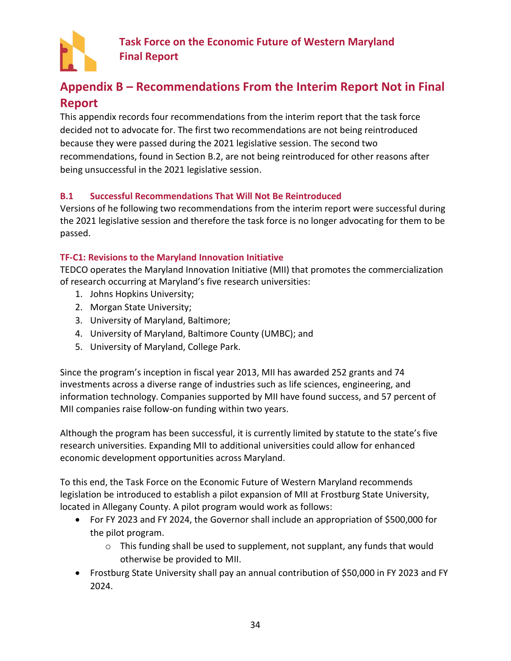

# <span id="page-34-0"></span>**Appendix B – Recommendations From the Interim Report Not in Final Report**

This appendix records four recommendations from the interim report that the task force decided not to advocate for. The first two recommendations are not being reintroduced because they were passed during the 2021 legislative session. The second two recommendations, found in Section B.2, are not being reintroduced for other reasons after being unsuccessful in the 2021 legislative session.

### <span id="page-34-1"></span>**B.1 Successful Recommendations That Will Not Be Reintroduced**

Versions of he following two recommendations from the interim report were successful during the 2021 legislative session and therefore the task force is no longer advocating for them to be passed.

#### <span id="page-34-2"></span>**TF-C1: Revisions to the Maryland Innovation Initiative**

TEDCO operates the Maryland Innovation Initiative (MII) that promotes the commercialization of research occurring at Maryland's five research universities:

- 1. Johns Hopkins University;
- 2. Morgan State University;
- 3. University of Maryland, Baltimore;
- 4. University of Maryland, Baltimore County (UMBC); and
- 5. University of Maryland, College Park.

Since the program's inception in fiscal year 2013, MII has awarded 252 grants and 74 investments across a diverse range of industries such as life sciences, engineering, and information technology. Companies supported by MII have found success, and 57 percent of MII companies raise follow-on funding within two years.

Although the program has been successful, it is currently limited by statute to the state's five research universities. Expanding MII to additional universities could allow for enhanced economic development opportunities across Maryland.

To this end, the Task Force on the Economic Future of Western Maryland recommends legislation be introduced to establish a pilot expansion of MII at Frostburg State University, located in Allegany County. A pilot program would work as follows:

- For FY 2023 and FY 2024, the Governor shall include an appropriation of \$500,000 for the pilot program.
	- o This funding shall be used to supplement, not supplant, any funds that would otherwise be provided to MII.
- Frostburg State University shall pay an annual contribution of \$50,000 in FY 2023 and FY 2024.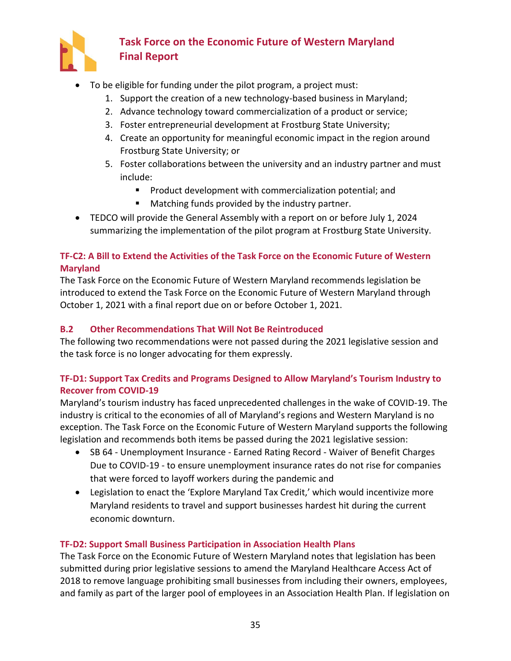

- To be eligible for funding under the pilot program, a project must:
	- 1. Support the creation of a new technology-based business in Maryland;
	- 2. Advance technology toward commercialization of a product or service;
	- 3. Foster entrepreneurial development at Frostburg State University;
	- 4. Create an opportunity for meaningful economic impact in the region around Frostburg State University; or
	- 5. Foster collaborations between the university and an industry partner and must include:
		- Product development with commercialization potential; and
		- Matching funds provided by the industry partner.
- TEDCO will provide the General Assembly with a report on or before July 1, 2024 summarizing the implementation of the pilot program at Frostburg State University.

### <span id="page-35-0"></span>**TF-C2: A Bill to Extend the Activities of the Task Force on the Economic Future of Western Maryland**

The Task Force on the Economic Future of Western Maryland recommends legislation be introduced to extend the Task Force on the Economic Future of Western Maryland through October 1, 2021 with a final report due on or before October 1, 2021.

#### <span id="page-35-1"></span>**B.2 Other Recommendations That Will Not Be Reintroduced**

The following two recommendations were not passed during the 2021 legislative session and the task force is no longer advocating for them expressly.

### <span id="page-35-2"></span>**TF-D1: Support Tax Credits and Programs Designed to Allow Maryland's Tourism Industry to Recover from COVID-19**

Maryland's tourism industry has faced unprecedented challenges in the wake of COVID-19. The industry is critical to the economies of all of Maryland's regions and Western Maryland is no exception. The Task Force on the Economic Future of Western Maryland supports the following legislation and recommends both items be passed during the 2021 legislative session:

- SB 64 Unemployment Insurance Earned Rating Record Waiver of Benefit Charges Due to COVID-19 - to ensure unemployment insurance rates do not rise for companies that were forced to layoff workers during the pandemic and
- Legislation to enact the 'Explore Maryland Tax Credit,' which would incentivize more Maryland residents to travel and support businesses hardest hit during the current economic downturn.

#### <span id="page-35-3"></span>**TF-D2: Support Small Business Participation in Association Health Plans**

The Task Force on the Economic Future of Western Maryland notes that legislation has been submitted during prior legislative sessions to amend the Maryland Healthcare Access Act of 2018 to remove language prohibiting small businesses from including their owners, employees, and family as part of the larger pool of employees in an Association Health Plan. If legislation on